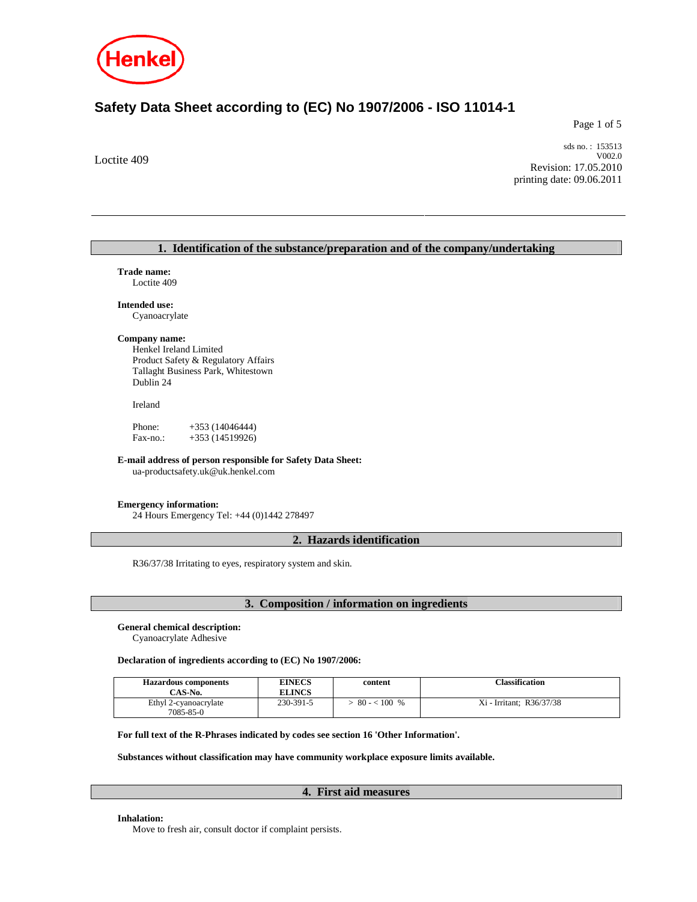

# **Safety Data Sheet according to (EC) No 1907/2006 - ISO 11014-1**

Page 1 of 5

Loctite 409

sds no. : 153513 V002.0 Revision: 17.05.2010 printing date: 09.06.2011

|                               | 1. Identification of the substance/preparation and of the company/undertaking                    |
|-------------------------------|--------------------------------------------------------------------------------------------------|
| <b>Trade name:</b>            |                                                                                                  |
| Loctite 409                   |                                                                                                  |
| <b>Intended use:</b>          |                                                                                                  |
| Cyanoacrylate                 |                                                                                                  |
| Company name:                 |                                                                                                  |
| Henkel Ireland Limited        |                                                                                                  |
|                               | Product Safety & Regulatory Affairs                                                              |
|                               | Tallaght Business Park, Whitestown                                                               |
| Dublin 24                     |                                                                                                  |
| Ireland                       |                                                                                                  |
| Phone:                        | $+353(14046444)$                                                                                 |
| Fax-no.:                      | $+353(14519926)$                                                                                 |
|                               | E-mail address of person responsible for Safety Data Sheet:<br>ua-productsafety.uk@uk.henkel.com |
| <b>Emergency information:</b> | 24 Hours Emergency Tel: +44 (0)1442 278497                                                       |
|                               | 2. Hazards identification                                                                        |
|                               |                                                                                                  |
|                               | R36/37/38 Irritating to eyes, respiratory system and skin.                                       |
|                               |                                                                                                  |

# **3. Composition / information on ingredients**

### **General chemical description:**

Cyanoacrylate Adhesive

**Declaration of ingredients according to (EC) No 1907/2006:** 

| <b>Hazardous components</b><br>CAS-No. | <b>EINECS</b><br><b>ELINCS</b> | content      | Classification           |
|----------------------------------------|--------------------------------|--------------|--------------------------|
| Ethyl 2-cyanoacrylate<br>7085-85-0     | 230-391-5                      | $80 - 100 %$ | Xi - Irritant: R36/37/38 |

**For full text of the R-Phrases indicated by codes see section 16 'Other Information'.**

**Substances without classification may have community workplace exposure limits available.**

### **4. First aid measures**

**Inhalation:** 

Move to fresh air, consult doctor if complaint persists.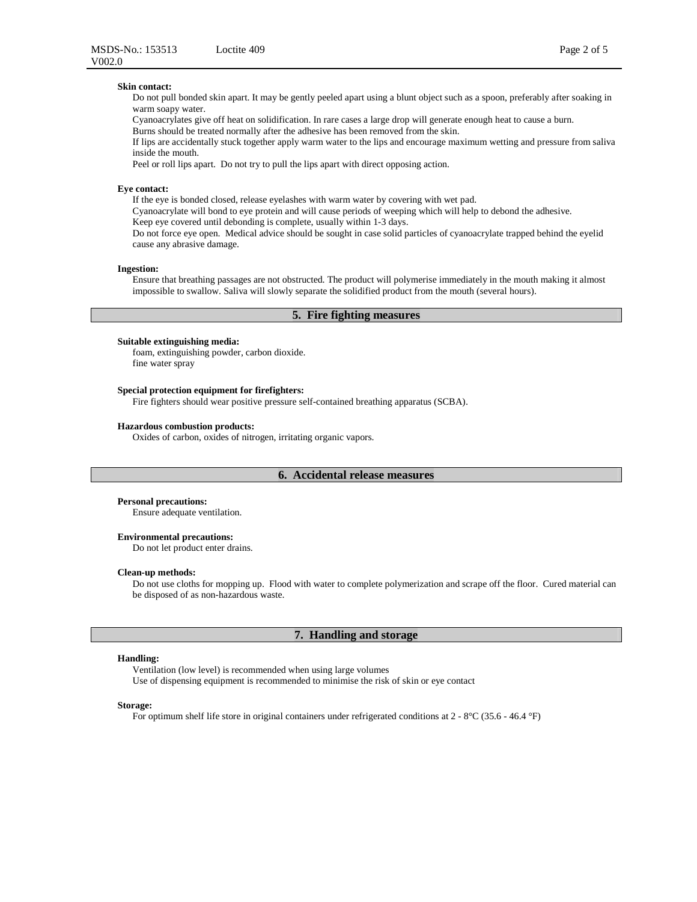### **Skin contact:**

Do not pull bonded skin apart. It may be gently peeled apart using a blunt object such as a spoon, preferably after soaking in warm soapy water.

Cyanoacrylates give off heat on solidification. In rare cases a large drop will generate enough heat to cause a burn. Burns should be treated normally after the adhesive has been removed from the skin.

If lips are accidentally stuck together apply warm water to the lips and encourage maximum wetting and pressure from saliva inside the mouth.

Peel or roll lips apart. Do not try to pull the lips apart with direct opposing action.

#### **Eye contact:**

If the eye is bonded closed, release eyelashes with warm water by covering with wet pad.

Cyanoacrylate will bond to eye protein and will cause periods of weeping which will help to debond the adhesive.

Keep eye covered until debonding is complete, usually within 1-3 days.

Do not force eye open. Medical advice should be sought in case solid particles of cyanoacrylate trapped behind the eyelid cause any abrasive damage.

#### **Ingestion:**

Ensure that breathing passages are not obstructed. The product will polymerise immediately in the mouth making it almost impossible to swallow. Saliva will slowly separate the solidified product from the mouth (several hours).

### **5. Fire fighting measures**

#### **Suitable extinguishing media:**

foam, extinguishing powder, carbon dioxide. fine water spray

#### **Special protection equipment for firefighters:**

Fire fighters should wear positive pressure self-contained breathing apparatus (SCBA).

#### **Hazardous combustion products:**

Oxides of carbon, oxides of nitrogen, irritating organic vapors.

### **6. Accidental release measures**

### **Personal precautions:**

Ensure adequate ventilation.

### **Environmental precautions:**

Do not let product enter drains.

#### **Clean-up methods:**

Do not use cloths for mopping up. Flood with water to complete polymerization and scrape off the floor. Cured material can be disposed of as non-hazardous waste.

### **7. Handling and storage**

#### **Handling:**

Ventilation (low level) is recommended when using large volumes Use of dispensing equipment is recommended to minimise the risk of skin or eye contact

### **Storage:**

For optimum shelf life store in original containers under refrigerated conditions at 2 - 8°C (35.6 - 46.4 °F)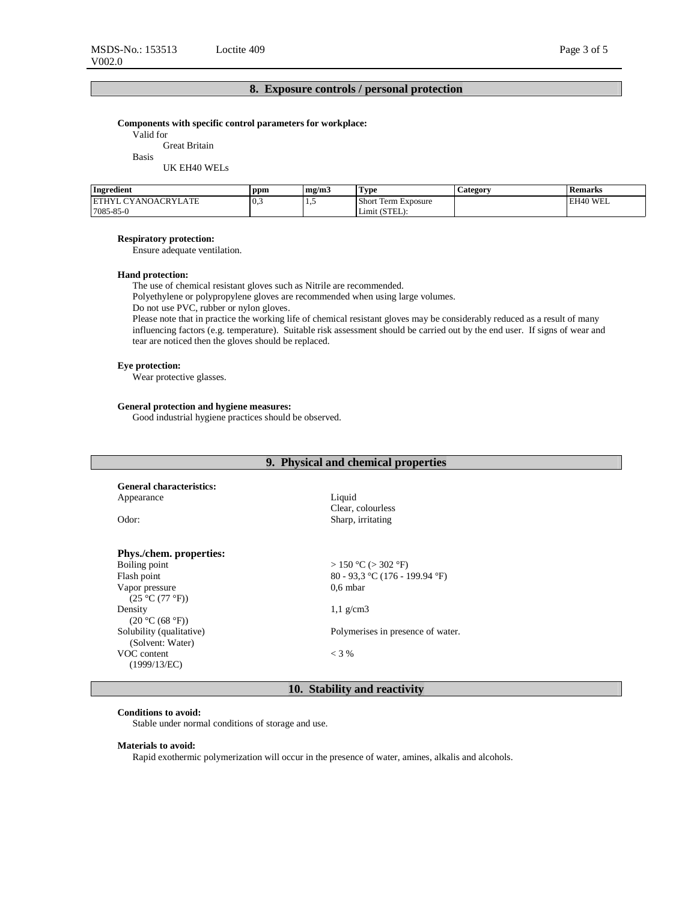### **8. Exposure controls / personal protection**

#### **Components with specific control parameters for workplace:**

Valid for

Great Britain

Basis

UK EH40 WELs

| Ingredient                                | ppm | m <sub>2</sub> /m <sub>3</sub> | 1 vpe                  | $\mathcal{L}$ ategor $\mathcal{L}$ | Remarks  |
|-------------------------------------------|-----|--------------------------------|------------------------|------------------------------------|----------|
| ATE<br><b>CYANOACRYL</b><br><b>IETHYI</b> | 0,3 | .                              | Short<br>Term Exposure |                                    | EH40 WEL |
| 7085-85-0                                 |     |                                | Limit (STEL).          |                                    |          |

### **Respiratory protection:**

Ensure adequate ventilation.

### **Hand protection:**

The use of chemical resistant gloves such as Nitrile are recommended.

Polyethylene or polypropylene gloves are recommended when using large volumes.

Do not use PVC, rubber or nylon gloves.

Please note that in practice the working life of chemical resistant gloves may be considerably reduced as a result of many influencing factors (e.g. temperature). Suitable risk assessment should be carried out by the end user. If signs of wear and tear are noticed then the gloves should be replaced.

### **Eye protection:**

Wear protective glasses.

### **General protection and hygiene measures:**

Good industrial hygiene practices should be observed.

### **9. Physical and chemical properties**

### **General characteristics:**

### **Phys./chem. properties:**

 Vapor pressure  $(25 °C (77 °F))$  Density  $(20 °C (68 °F))$  Solubility (qualitative) (Solvent: Water) VOC content (1999/13/EC)

Appearance Liquid Clear, colourless Odor: Sharp, irritating

Boiling point  $> 150 °C (> 302 °F)$ Flash point 80 - 93,3 °C (176 - 199.94 °F) 0,6 mbar

1,1 g/cm3

Polymerises in presence of water.

 $< 3 %$ 

### **10. Stability and reactivity**

### **Conditions to avoid:**

Stable under normal conditions of storage and use.

#### **Materials to avoid:**

Rapid exothermic polymerization will occur in the presence of water, amines, alkalis and alcohols.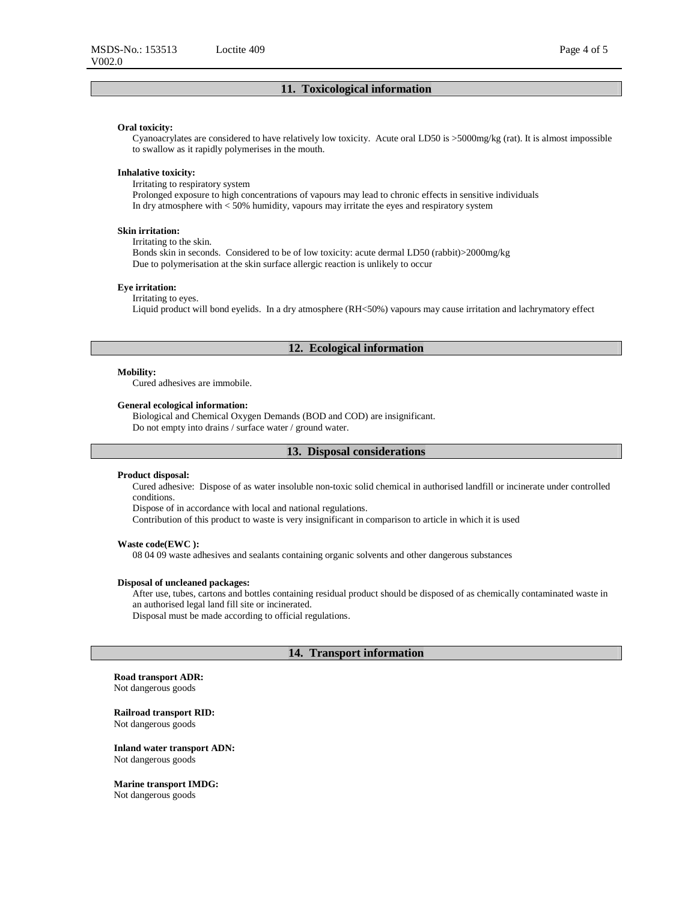## **11. Toxicological information**

### **Oral toxicity:**

Cyanoacrylates are considered to have relatively low toxicity. Acute oral LD50 is >5000mg/kg (rat). It is almost impossible to swallow as it rapidly polymerises in the mouth.

#### **Inhalative toxicity:**

Irritating to respiratory system

Prolonged exposure to high concentrations of vapours may lead to chronic effects in sensitive individuals In dry atmosphere with < 50% humidity, vapours may irritate the eyes and respiratory system

### **Skin irritation:**

Irritating to the skin.

Bonds skin in seconds. Considered to be of low toxicity: acute dermal LD50 (rabbit)>2000mg/kg Due to polymerisation at the skin surface allergic reaction is unlikely to occur

### **Eye irritation:**

Irritating to eyes. Liquid product will bond eyelids. In a dry atmosphere (RH<50%) vapours may cause irritation and lachrymatory effect

### **12. Ecological information**

### **Mobility:**

Cured adhesives are immobile.

### **General ecological information:**

Biological and Chemical Oxygen Demands (BOD and COD) are insignificant. Do not empty into drains / surface water / ground water.

# **13. Disposal considerations**

### **Product disposal:**

Cured adhesive: Dispose of as water insoluble non-toxic solid chemical in authorised landfill or incinerate under controlled conditions.

Dispose of in accordance with local and national regulations.

Contribution of this product to waste is very insignificant in comparison to article in which it is used

### **Waste code(EWC ):**

08 04 09 waste adhesives and sealants containing organic solvents and other dangerous substances

#### **Disposal of uncleaned packages:**

After use, tubes, cartons and bottles containing residual product should be disposed of as chemically contaminated waste in an authorised legal land fill site or incinerated. Disposal must be made according to official regulations.

### **14. Transport information**

### **Road transport ADR:** Not dangerous goods

**Railroad transport RID:**  Not dangerous goods

**Inland water transport ADN:** Not dangerous goods

**Marine transport IMDG:** Not dangerous goods